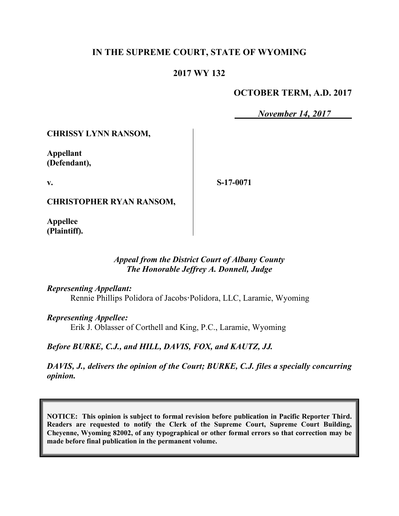# **IN THE SUPREME COURT, STATE OF WYOMING**

# **2017 WY 132**

# **OCTOBER TERM, A.D. 2017**

*November 14, 2017*

**CHRISSY LYNN RANSOM,**

**Appellant (Defendant),**

**v.**

**S-17-0071**

**CHRISTOPHER RYAN RANSOM,**

**Appellee (Plaintiff).**

### *Appeal from the District Court of Albany County The Honorable Jeffrey A. Donnell, Judge*

*Representing Appellant:*

Rennie Phillips Polidora of Jacobs**·**Polidora, LLC, Laramie, Wyoming

*Representing Appellee:*

Erik J. Oblasser of Corthell and King, P.C., Laramie, Wyoming

*Before BURKE, C.J., and HILL, DAVIS, FOX, and KAUTZ, JJ.*

*DAVIS, J., delivers the opinion of the Court; BURKE, C.J. files a specially concurring opinion.*

**NOTICE: This opinion is subject to formal revision before publication in Pacific Reporter Third. Readers are requested to notify the Clerk of the Supreme Court, Supreme Court Building, Cheyenne, Wyoming 82002, of any typographical or other formal errors so that correction may be made before final publication in the permanent volume.**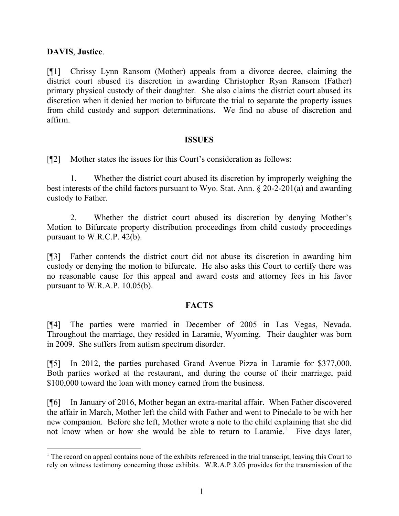### **DAVIS**, **Justice**.

[¶1] Chrissy Lynn Ransom (Mother) appeals from a divorce decree, claiming the district court abused its discretion in awarding Christopher Ryan Ransom (Father) primary physical custody of their daughter. She also claims the district court abused its discretion when it denied her motion to bifurcate the trial to separate the property issues from child custody and support determinations. We find no abuse of discretion and affirm.

#### **ISSUES**

[¶2] Mother states the issues for this Court's consideration as follows:

1. Whether the district court abused its discretion by improperly weighing the best interests of the child factors pursuant to Wyo. Stat. Ann. § 20-2-201(a) and awarding custody to Father.

2. Whether the district court abused its discretion by denying Mother's Motion to Bifurcate property distribution proceedings from child custody proceedings pursuant to W.R.C.P. 42(b).

[¶3] Father contends the district court did not abuse its discretion in awarding him custody or denying the motion to bifurcate. He also asks this Court to certify there was no reasonable cause for this appeal and award costs and attorney fees in his favor pursuant to W.R.A.P. 10.05(b).

#### **FACTS**

[¶4] The parties were married in December of 2005 in Las Vegas, Nevada. Throughout the marriage, they resided in Laramie, Wyoming. Their daughter was born in 2009. She suffers from autism spectrum disorder.

[¶5] In 2012, the parties purchased Grand Avenue Pizza in Laramie for \$377,000. Both parties worked at the restaurant, and during the course of their marriage, paid \$100,000 toward the loan with money earned from the business.

[¶6] In January of 2016, Mother began an extra-marital affair. When Father discovered the affair in March, Mother left the child with Father and went to Pinedale to be with her new companion. Before she left, Mother wrote a note to the child explaining that she did not know when or how she would be able to return to Laramie.<sup>1</sup> Five days later,

 $<sup>1</sup>$  The record on appeal contains none of the exhibits referenced in the trial transcript, leaving this Court to</sup> rely on witness testimony concerning those exhibits. W.R.A.P 3.05 provides for the transmission of the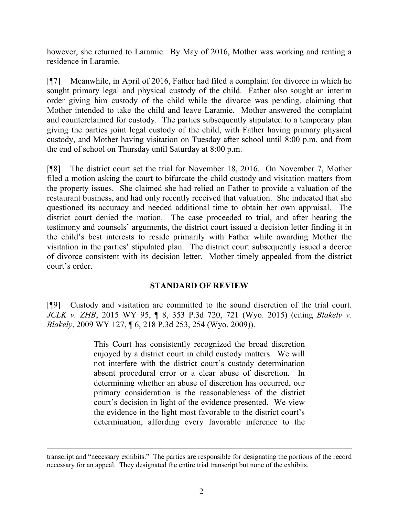however, she returned to Laramie. By May of 2016, Mother was working and renting a residence in Laramie.

[¶7] Meanwhile, in April of 2016, Father had filed a complaint for divorce in which he sought primary legal and physical custody of the child. Father also sought an interim order giving him custody of the child while the divorce was pending, claiming that Mother intended to take the child and leave Laramie. Mother answered the complaint and counterclaimed for custody. The parties subsequently stipulated to a temporary plan giving the parties joint legal custody of the child, with Father having primary physical custody, and Mother having visitation on Tuesday after school until 8:00 p.m. and from the end of school on Thursday until Saturday at 8:00 p.m.

[¶8] The district court set the trial for November 18, 2016. On November 7, Mother filed a motion asking the court to bifurcate the child custody and visitation matters from the property issues. She claimed she had relied on Father to provide a valuation of the restaurant business, and had only recently received that valuation. She indicated that she questioned its accuracy and needed additional time to obtain her own appraisal. The district court denied the motion. The case proceeded to trial, and after hearing the testimony and counsels' arguments, the district court issued a decision letter finding it in the child's best interests to reside primarily with Father while awarding Mother the visitation in the parties' stipulated plan. The district court subsequently issued a decree of divorce consistent with its decision letter. Mother timely appealed from the district court's order.

### **STANDARD OF REVIEW**

[¶9] Custody and visitation are committed to the sound discretion of the trial court. *JCLK v. ZHB*, 2015 WY 95, ¶ 8, 353 P.3d 720, 721 (Wyo. 2015) (citing *Blakely v. Blakely*, 2009 WY 127, ¶ 6, 218 P.3d 253, 254 (Wyo. 2009)).

> This Court has consistently recognized the broad discretion enjoyed by a district court in child custody matters. We will not interfere with the district court's custody determination absent procedural error or a clear abuse of discretion. In determining whether an abuse of discretion has occurred, our primary consideration is the reasonableness of the district court's decision in light of the evidence presented. We view the evidence in the light most favorable to the district court's determination, affording every favorable inference to the

transcript and "necessary exhibits." The parties are responsible for designating the portions of the record necessary for an appeal. They designated the entire trial transcript but none of the exhibits.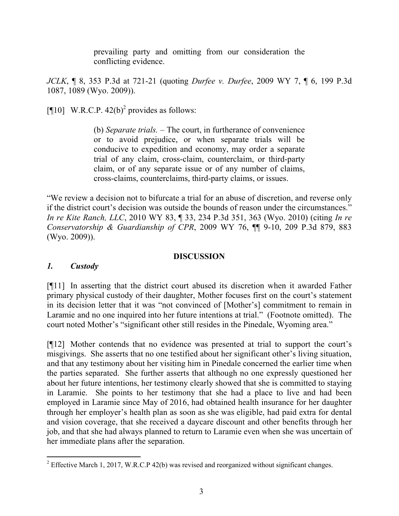prevailing party and omitting from our consideration the conflicting evidence.

*JCLK*, ¶ 8, 353 P.3d at 721-21 (quoting *Durfee v. Durfee*, 2009 WY 7, ¶ 6, 199 P.3d 1087, 1089 (Wyo. 2009)).

[¶10] W.R.C.P.  $42(b)^2$  provides as follows:

(b) *Separate trials.* – The court, in furtherance of convenience or to avoid prejudice, or when separate trials will be conducive to expedition and economy, may order a separate trial of any claim, cross-claim, counterclaim, or third-party claim, or of any separate issue or of any number of claims, cross-claims, counterclaims, third-party claims, or issues.

"We review a decision not to bifurcate a trial for an abuse of discretion, and reverse only if the district court's decision was outside the bounds of reason under the circumstances." *In re Kite Ranch, LLC*, 2010 WY 83, ¶ 33, 234 P.3d 351, 363 (Wyo. 2010) (citing *In re Conservatorship & Guardianship of CPR*, 2009 WY 76, ¶¶ 9-10, 209 P.3d 879, 883 (Wyo. 2009)).

### **DISCUSSION**

### *1. Custody*

[¶11] In asserting that the district court abused its discretion when it awarded Father primary physical custody of their daughter, Mother focuses first on the court's statement in its decision letter that it was "not convinced of [Mother's] commitment to remain in Laramie and no one inquired into her future intentions at trial." (Footnote omitted). The court noted Mother's "significant other still resides in the Pinedale, Wyoming area."

[¶12] Mother contends that no evidence was presented at trial to support the court's misgivings. She asserts that no one testified about her significant other's living situation, and that any testimony about her visiting him in Pinedale concerned the earlier time when the parties separated. She further asserts that although no one expressly questioned her about her future intentions, her testimony clearly showed that she is committed to staying in Laramie. She points to her testimony that she had a place to live and had been employed in Laramie since May of 2016, had obtained health insurance for her daughter through her employer's health plan as soon as she was eligible, had paid extra for dental and vision coverage, that she received a daycare discount and other benefits through her job, and that she had always planned to return to Laramie even when she was uncertain of her immediate plans after the separation.

l <sup>2</sup> Effective March 1, 2017, W.R.C.P 42(b) was revised and reorganized without significant changes.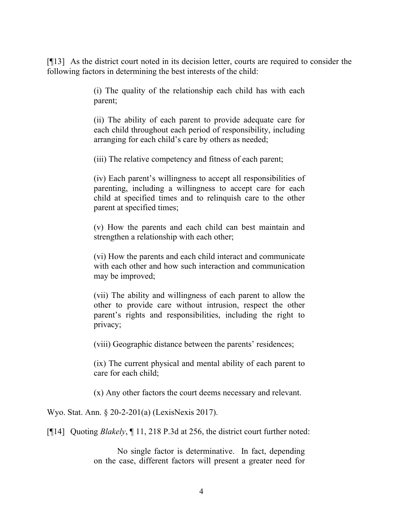[¶13] As the district court noted in its decision letter, courts are required to consider the following factors in determining the best interests of the child:

> (i) The quality of the relationship each child has with each parent;

> (ii) The ability of each parent to provide adequate care for each child throughout each period of responsibility, including arranging for each child's care by others as needed;

(iii) The relative competency and fitness of each parent;

(iv) Each parent's willingness to accept all responsibilities of parenting, including a willingness to accept care for each child at specified times and to relinquish care to the other parent at specified times;

(v) How the parents and each child can best maintain and strengthen a relationship with each other;

(vi) How the parents and each child interact and communicate with each other and how such interaction and communication may be improved;

(vii) The ability and willingness of each parent to allow the other to provide care without intrusion, respect the other parent's rights and responsibilities, including the right to privacy;

(viii) Geographic distance between the parents' residences;

(ix) The current physical and mental ability of each parent to care for each child;

(x) Any other factors the court deems necessary and relevant.

Wyo. Stat. Ann. § 20-2-201(a) (LexisNexis 2017).

[¶14] Quoting *Blakely*, ¶ 11, 218 P.3d at 256, the district court further noted:

No single factor is determinative. In fact, depending on the case, different factors will present a greater need for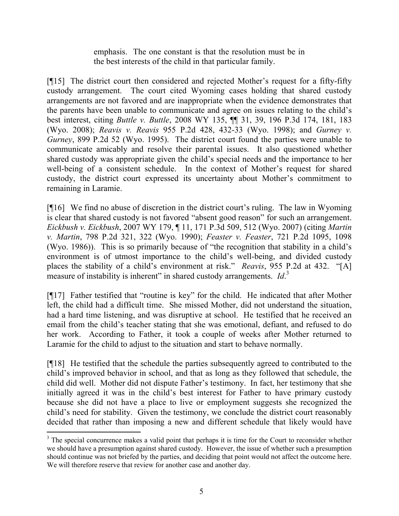emphasis. The one constant is that the resolution must be in the best interests of the child in that particular family.

[¶15] The district court then considered and rejected Mother's request for a fifty-fifty custody arrangement. The court cited Wyoming cases holding that shared custody arrangements are not favored and are inappropriate when the evidence demonstrates that the parents have been unable to communicate and agree on issues relating to the child's best interest, citing *Buttle v. Buttle*, 2008 WY 135, ¶¶ 31, 39, 196 P.3d 174, 181, 183 (Wyo. 2008); *Reavis v. Reavis* 955 P.2d 428, 432-33 (Wyo. 1998); and *Gurney v. Gurney*, 899 P.2d 52 (Wyo. 1995). The district court found the parties were unable to communicate amicably and resolve their parental issues. It also questioned whether shared custody was appropriate given the child's special needs and the importance to her well-being of a consistent schedule. In the context of Mother's request for shared custody, the district court expressed its uncertainty about Mother's commitment to remaining in Laramie.

[¶16] We find no abuse of discretion in the district court's ruling. The law in Wyoming is clear that shared custody is not favored "absent good reason" for such an arrangement. *Eickbush v. Eickbush*, 2007 WY 179, ¶ 11, 171 P.3d 509, 512 (Wyo. 2007) (citing *Martin v. Martin*, 798 P.2d 321, 322 (Wyo. 1990); *Feaster v. Feaster*, 721 P.2d 1095, 1098 (Wyo. 1986)). This is so primarily because of "the recognition that stability in a child's environment is of utmost importance to the child's well-being, and divided custody places the stability of a child's environment at risk." *Reavis*, 955 P.2d at 432. "[A] measure of instability is inherent" in shared custody arrangements. *Id*.<sup>3</sup>

[¶17] Father testified that "routine is key" for the child. He indicated that after Mother left, the child had a difficult time. She missed Mother, did not understand the situation, had a hard time listening, and was disruptive at school. He testified that he received an email from the child's teacher stating that she was emotional, defiant, and refused to do her work. According to Father, it took a couple of weeks after Mother returned to Laramie for the child to adjust to the situation and start to behave normally.

[¶18] He testified that the schedule the parties subsequently agreed to contributed to the child's improved behavior in school, and that as long as they followed that schedule, the child did well. Mother did not dispute Father's testimony. In fact, her testimony that she initially agreed it was in the child's best interest for Father to have primary custody because she did not have a place to live or employment suggests she recognized the child's need for stability. Given the testimony, we conclude the district court reasonably decided that rather than imposing a new and different schedule that likely would have

l

<sup>&</sup>lt;sup>3</sup> The special concurrence makes a valid point that perhaps it is time for the Court to reconsider whether we should have a presumption against shared custody. However, the issue of whether such a presumption should continue was not briefed by the parties, and deciding that point would not affect the outcome here. We will therefore reserve that review for another case and another day.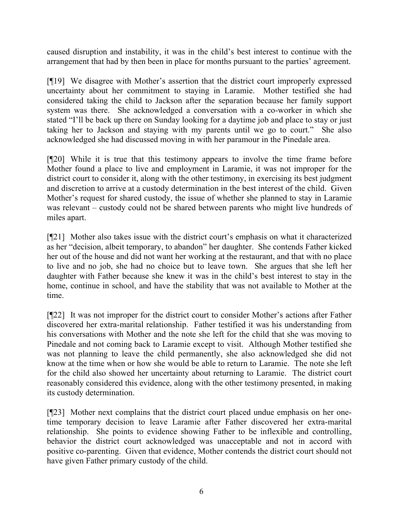caused disruption and instability, it was in the child's best interest to continue with the arrangement that had by then been in place for months pursuant to the parties' agreement.

[¶19] We disagree with Mother's assertion that the district court improperly expressed uncertainty about her commitment to staying in Laramie. Mother testified she had considered taking the child to Jackson after the separation because her family support system was there. She acknowledged a conversation with a co-worker in which she stated "I'll be back up there on Sunday looking for a daytime job and place to stay or just taking her to Jackson and staying with my parents until we go to court." She also acknowledged she had discussed moving in with her paramour in the Pinedale area.

[¶20] While it is true that this testimony appears to involve the time frame before Mother found a place to live and employment in Laramie, it was not improper for the district court to consider it, along with the other testimony, in exercising its best judgment and discretion to arrive at a custody determination in the best interest of the child. Given Mother's request for shared custody, the issue of whether she planned to stay in Laramie was relevant – custody could not be shared between parents who might live hundreds of miles apart.

[¶21] Mother also takes issue with the district court's emphasis on what it characterized as her "decision, albeit temporary, to abandon" her daughter. She contends Father kicked her out of the house and did not want her working at the restaurant, and that with no place to live and no job, she had no choice but to leave town. She argues that she left her daughter with Father because she knew it was in the child's best interest to stay in the home, continue in school, and have the stability that was not available to Mother at the time.

[¶22] It was not improper for the district court to consider Mother's actions after Father discovered her extra-marital relationship. Father testified it was his understanding from his conversations with Mother and the note she left for the child that she was moving to Pinedale and not coming back to Laramie except to visit. Although Mother testified she was not planning to leave the child permanently, she also acknowledged she did not know at the time when or how she would be able to return to Laramie. The note she left for the child also showed her uncertainty about returning to Laramie. The district court reasonably considered this evidence, along with the other testimony presented, in making its custody determination.

[¶23] Mother next complains that the district court placed undue emphasis on her onetime temporary decision to leave Laramie after Father discovered her extra-marital relationship. She points to evidence showing Father to be inflexible and controlling, behavior the district court acknowledged was unacceptable and not in accord with positive co-parenting. Given that evidence, Mother contends the district court should not have given Father primary custody of the child.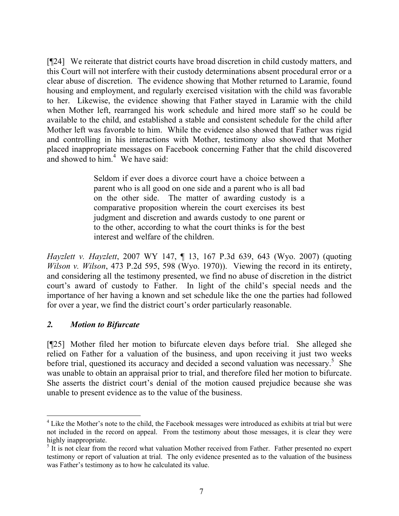[¶24] We reiterate that district courts have broad discretion in child custody matters, and this Court will not interfere with their custody determinations absent procedural error or a clear abuse of discretion. The evidence showing that Mother returned to Laramie, found housing and employment, and regularly exercised visitation with the child was favorable to her. Likewise, the evidence showing that Father stayed in Laramie with the child when Mother left, rearranged his work schedule and hired more staff so he could be available to the child, and established a stable and consistent schedule for the child after Mother left was favorable to him. While the evidence also showed that Father was rigid and controlling in his interactions with Mother, testimony also showed that Mother placed inappropriate messages on Facebook concerning Father that the child discovered and showed to him.<sup>4</sup> We have said:

> Seldom if ever does a divorce court have a choice between a parent who is all good on one side and a parent who is all bad on the other side. The matter of awarding custody is a comparative proposition wherein the court exercises its best judgment and discretion and awards custody to one parent or to the other, according to what the court thinks is for the best interest and welfare of the children.

*Hayzlett v. Hayzlett*, 2007 WY 147, ¶ 13, 167 P.3d 639, 643 (Wyo. 2007) (quoting *Wilson v. Wilson*, 473 P.2d 595, 598 (Wyo. 1970)). Viewing the record in its entirety, and considering all the testimony presented, we find no abuse of discretion in the district court's award of custody to Father. In light of the child's special needs and the importance of her having a known and set schedule like the one the parties had followed for over a year, we find the district court's order particularly reasonable.

### *2. Motion to Bifurcate*

[¶25] Mother filed her motion to bifurcate eleven days before trial. She alleged she relied on Father for a valuation of the business, and upon receiving it just two weeks before trial, questioned its accuracy and decided a second valuation was necessary.<sup>5</sup> She was unable to obtain an appraisal prior to trial, and therefore filed her motion to bifurcate. She asserts the district court's denial of the motion caused prejudice because she was unable to present evidence as to the value of the business.

<sup>&</sup>lt;sup>4</sup> Like the Mother's note to the child, the Facebook messages were introduced as exhibits at trial but were not included in the record on appeal. From the testimony about those messages, it is clear they were highly inappropriate.

<sup>&</sup>lt;sup>5</sup> It is not clear from the record what valuation Mother received from Father. Father presented no expert testimony or report of valuation at trial. The only evidence presented as to the valuation of the business was Father's testimony as to how he calculated its value.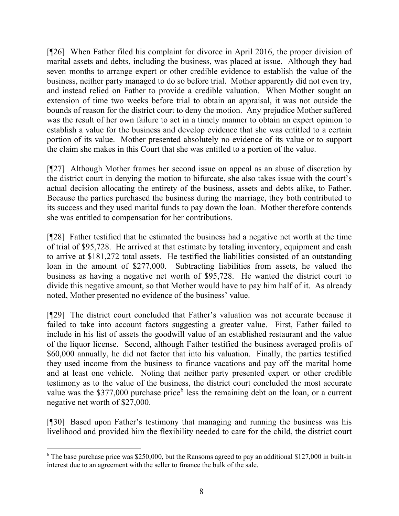[¶26] When Father filed his complaint for divorce in April 2016, the proper division of marital assets and debts, including the business, was placed at issue. Although they had seven months to arrange expert or other credible evidence to establish the value of the business, neither party managed to do so before trial. Mother apparently did not even try, and instead relied on Father to provide a credible valuation. When Mother sought an extension of time two weeks before trial to obtain an appraisal, it was not outside the bounds of reason for the district court to deny the motion. Any prejudice Mother suffered was the result of her own failure to act in a timely manner to obtain an expert opinion to establish a value for the business and develop evidence that she was entitled to a certain portion of its value. Mother presented absolutely no evidence of its value or to support the claim she makes in this Court that she was entitled to a portion of the value.

[¶27] Although Mother frames her second issue on appeal as an abuse of discretion by the district court in denying the motion to bifurcate, she also takes issue with the court's actual decision allocating the entirety of the business, assets and debts alike, to Father. Because the parties purchased the business during the marriage, they both contributed to its success and they used marital funds to pay down the loan. Mother therefore contends she was entitled to compensation for her contributions.

[¶28] Father testified that he estimated the business had a negative net worth at the time of trial of \$95,728. He arrived at that estimate by totaling inventory, equipment and cash to arrive at \$181,272 total assets. He testified the liabilities consisted of an outstanding loan in the amount of \$277,000. Subtracting liabilities from assets, he valued the business as having a negative net worth of \$95,728. He wanted the district court to divide this negative amount, so that Mother would have to pay him half of it. As already noted, Mother presented no evidence of the business' value.

[¶29] The district court concluded that Father's valuation was not accurate because it failed to take into account factors suggesting a greater value. First, Father failed to include in his list of assets the goodwill value of an established restaurant and the value of the liquor license. Second, although Father testified the business averaged profits of \$60,000 annually, he did not factor that into his valuation. Finally, the parties testified they used income from the business to finance vacations and pay off the marital home and at least one vehicle. Noting that neither party presented expert or other credible testimony as to the value of the business, the district court concluded the most accurate value was the \$377,000 purchase price  $6$  less the remaining debt on the loan, or a current negative net worth of \$27,000.

[¶30] Based upon Father's testimony that managing and running the business was his livelihood and provided him the flexibility needed to care for the child, the district court

 $6$  The base purchase price was \$250,000, but the Ransoms agreed to pay an additional \$127,000 in built-in interest due to an agreement with the seller to finance the bulk of the sale.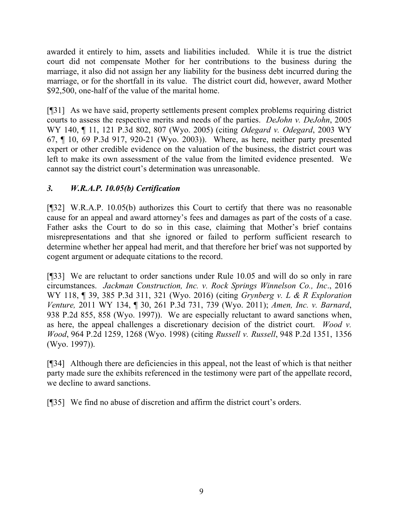awarded it entirely to him, assets and liabilities included. While it is true the district court did not compensate Mother for her contributions to the business during the marriage, it also did not assign her any liability for the business debt incurred during the marriage, or for the shortfall in its value. The district court did, however, award Mother \$92,500, one-half of the value of the marital home.

[¶31] As we have said, property settlements present complex problems requiring district courts to assess the respective merits and needs of the parties. *DeJohn v. DeJohn*, 2005 WY 140, ¶ 11, 121 P.3d 802, 807 (Wyo. 2005) (citing *Odegard v. Odegard*, 2003 WY 67, ¶ 10, 69 P.3d 917, 920-21 (Wyo. 2003)). Where, as here, neither party presented expert or other credible evidence on the valuation of the business, the district court was left to make its own assessment of the value from the limited evidence presented. We cannot say the district court's determination was unreasonable.

# *3. W.R.A.P. 10.05(b) Certification*

[¶32] W.R.A.P. 10.05(b) authorizes this Court to certify that there was no reasonable cause for an appeal and award attorney's fees and damages as part of the costs of a case. Father asks the Court to do so in this case, claiming that Mother's brief contains misrepresentations and that she ignored or failed to perform sufficient research to determine whether her appeal had merit, and that therefore her brief was not supported by cogent argument or adequate citations to the record.

[¶33] We are reluctant to order sanctions under Rule 10.05 and will do so only in rare circumstances. *Jackman Construction, Inc. v. Rock Springs Winnelson Co., Inc*., 2016 WY 118, ¶ 39, 385 P.3d 311, 321 (Wyo. 2016) (citing *Grynberg v. L & R Exploration Venture,* 2011 WY 134, ¶ 30, 261 P.3d 731, 739 (Wyo. 2011); *Amen, Inc. v. Barnard*, 938 P.2d 855, 858 (Wyo. 1997)). We are especially reluctant to award sanctions when, as here, the appeal challenges a discretionary decision of the district court. *Wood v. Wood*, 964 P.2d 1259, 1268 (Wyo. 1998) (citing *Russell v. Russell*, 948 P.2d 1351, 1356 (Wyo. 1997)).

[¶34] Although there are deficiencies in this appeal, not the least of which is that neither party made sure the exhibits referenced in the testimony were part of the appellate record, we decline to award sanctions.

[¶35] We find no abuse of discretion and affirm the district court's orders.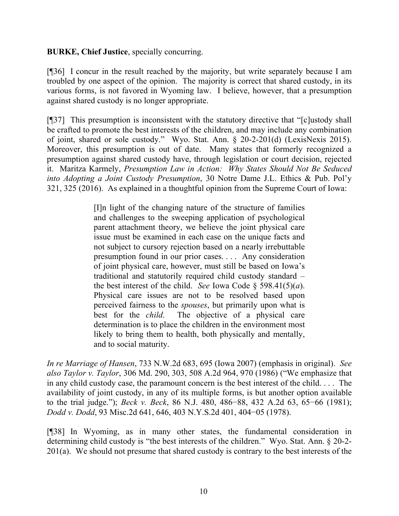**BURKE, Chief Justice**, specially concurring.

[¶36] I concur in the result reached by the majority, but write separately because I am troubled by one aspect of the opinion. The majority is correct that shared custody, in its various forms, is not favored in Wyoming law. I believe, however, that a presumption against shared custody is no longer appropriate.

[¶37] This presumption is inconsistent with the statutory directive that "[c]ustody shall be crafted to promote the best interests of the children, and may include any combination of joint, shared or sole custody." Wyo. Stat. Ann. § 20-2-201(d) (LexisNexis 2015). Moreover, this presumption is out of date. Many states that formerly recognized a presumption against shared custody have, through legislation or court decision, rejected it. Maritza Karmely, *Presumption Law in Action: Why States Should Not Be Seduced into Adopting a Joint Custody Presumption*, 30 Notre Dame J.L. Ethics & Pub. Pol'y 321, 325 (2016). As explained in a thoughtful opinion from the Supreme Court of Iowa:

> [I]n light of the changing nature of the structure of families and challenges to the sweeping application of psychological parent attachment theory, we believe the joint physical care issue must be examined in each case on the unique facts and not subject to cursory rejection based on a nearly irrebuttable presumption found in our prior cases. . . . Any consideration of joint physical care, however, must still be based on Iowa's traditional and statutorily required child custody standard – the best interest of the child. *See* Iowa Code  $\S$  598.41(5)(*a*). Physical care issues are not to be resolved based upon perceived fairness to the *spouses*, but primarily upon what is best for the *child*. The objective of a physical care determination is to place the children in the environment most likely to bring them to health, both physically and mentally, and to social maturity.

*In re Marriage of Hansen*, 733 N.W.2d 683, 695 (Iowa 2007) (emphasis in original). *See also Taylor v. Taylor*, 306 Md. 290, 303, 508 A.2d 964, 970 (1986) ("We emphasize that in any child custody case, the paramount concern is the best interest of the child. . . . The availability of joint custody, in any of its multiple forms, is but another option available to the trial judge."); *Beck v. Beck*, 86 N.J. 480, 486−88, 432 A.2d 63, 65−66 (1981); *Dodd v. Dodd*, 93 Misc.2d 641, 646, 403 N.Y.S.2d 401, 404−05 (1978).

[¶38] In Wyoming, as in many other states, the fundamental consideration in determining child custody is "the best interests of the children." Wyo. Stat. Ann. § 20-2- 201(a). We should not presume that shared custody is contrary to the best interests of the